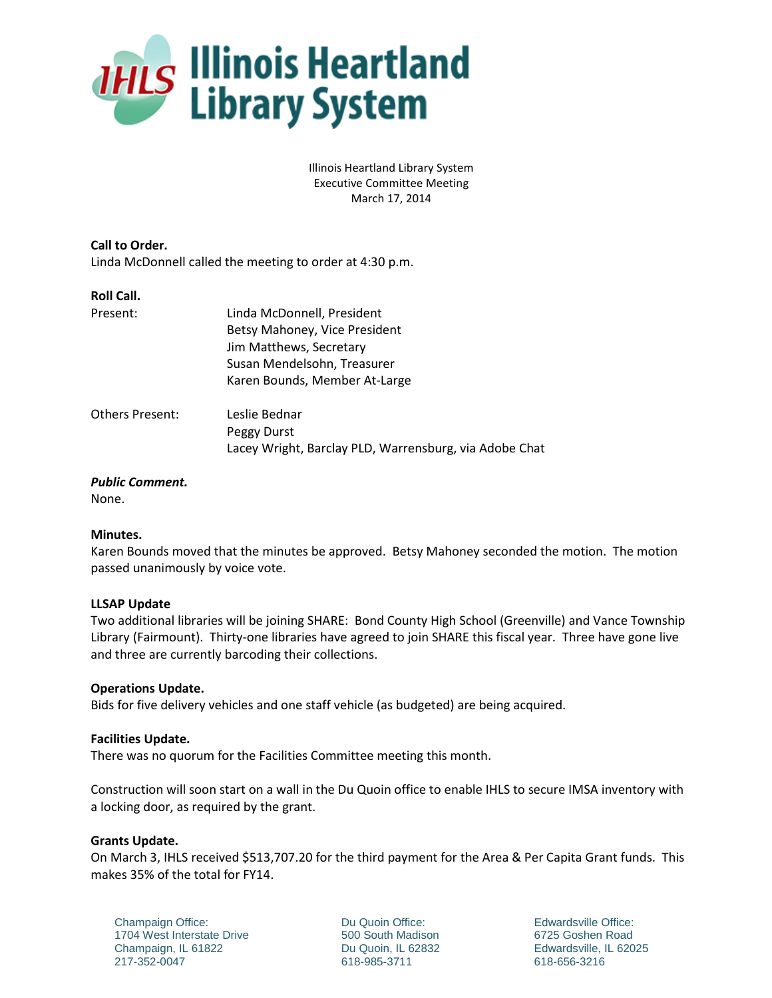

Illinois Heartland Library System Executive Committee Meeting March 17, 2014

**Call to Order.** Linda McDonnell called the meeting to order at 4:30 p.m.

### **Roll Call.**

| Present:               | Linda McDonnell, President                             |
|------------------------|--------------------------------------------------------|
|                        | Betsy Mahoney, Vice President                          |
|                        | Jim Matthews, Secretary                                |
|                        | Susan Mendelsohn, Treasurer                            |
|                        | Karen Bounds, Member At-Large                          |
| <b>Others Present:</b> | Leslie Bednar                                          |
|                        | Peggy Durst                                            |
|                        | Lacey Wright, Barclay PLD, Warrensburg, via Adobe Chat |
|                        |                                                        |

# *Public Comment.*

None.

## **Minutes.**

Karen Bounds moved that the minutes be approved. Betsy Mahoney seconded the motion. The motion passed unanimously by voice vote.

## **LLSAP Update**

Two additional libraries will be joining SHARE: Bond County High School (Greenville) and Vance Township Library (Fairmount). Thirty-one libraries have agreed to join SHARE this fiscal year. Three have gone live and three are currently barcoding their collections.

## **Operations Update.**

Bids for five delivery vehicles and one staff vehicle (as budgeted) are being acquired.

### **Facilities Update.**

There was no quorum for the Facilities Committee meeting this month.

Construction will soon start on a wall in the Du Quoin office to enable IHLS to secure IMSA inventory with a locking door, as required by the grant.

## **Grants Update.**

On March 3, IHLS received \$513,707.20 for the third payment for the Area & Per Capita Grant funds. This makes 35% of the total for FY14.

Champaign Office: 1704 West Interstate Drive Champaign, IL 61822 217-352-0047

Du Quoin Office: 500 South Madison Du Quoin, IL 62832 618-985-3711

Edwardsville Office: 6725 Goshen Road Edwardsville, IL 62025 618-656-3216